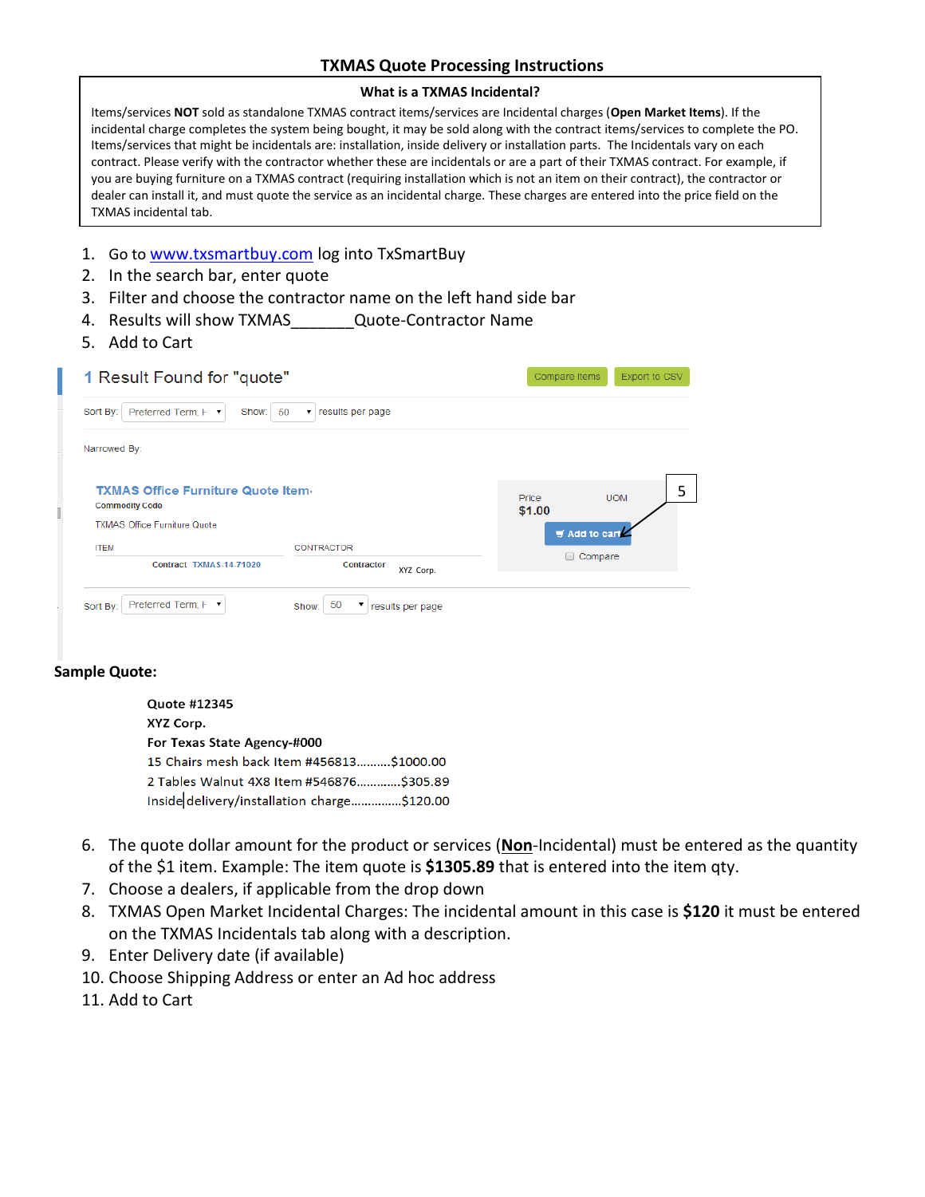## **TXMAS Quote Processing Instructions**

## **What is a TXMAS Incidental?**

Items/services **NOT** sold as standalone TXMAS contract items/services are Incidental charges (**Open Market Items**). If the incidental charge completes the system being bought, it may be sold along with the contract items/services to complete the PO. Items/services that might be incidentals are: installation, inside delivery or installation parts. The Incidentals vary on each contract. Please verify with the contractor whether these are incidentals or are a part of their TXMAS contract. For example, if you are buying furniture on a TXMAS contract (requiring installation which is not an item on their contract), the contractor or dealer can install it, and must quote the service as an incidental charge. These charges are entered into the price field on the TXMAS incidental tab.

- 1. Go to <u>[www.txsmartbuy.com](http://www.txsmartbuy.com/)</u> log into TxSmartBuy
- 2. In the search bar, enter quote
- 3. Filter and choose the contractor name on the left hand side bar
- 4. Results will show TXMAS Cuote-Contractor Name
- 5. Add to Cart

| 1 Result Found for "quote"                                                                                |                      |  |  |  |
|-----------------------------------------------------------------------------------------------------------|----------------------|--|--|--|
| results per page<br>50<br>$\pmb{\mathrm{v}}$                                                              |                      |  |  |  |
|                                                                                                           |                      |  |  |  |
| <b>TXMAS Office Furniture Quote Item-</b><br><b>Commodity Code</b><br><b>TXMAS Office Furniture Quote</b> |                      |  |  |  |
| CONTRACTOR                                                                                                | $\equiv$ Add to cart |  |  |  |
|                                                                                                           | Compare<br>□         |  |  |  |
|                                                                                                           |                      |  |  |  |

## **Sample Quote:**

**Quote #12345** XYZ Corp. For Texas State Agency-#000 15 Chairs mesh back Item #456813..........\$1000.00 2 Tables Walnut 4X8 Item #546876.............\$305.89 Inside delivery/installation charge...............\$120.00

- 6. The quote dollar amount for the product or services (**Non**-Incidental) must be entered as the quantity of the \$1 item. Example: The item quote is **\$1305.89** that is entered into the item qty.
- 7. Choose a dealers, if applicable from the drop down
- 8. TXMAS Open Market Incidental Charges: The incidental amount in this case is **\$120** it must be entered on the TXMAS Incidentals tab along with a description.
- 9. Enter Delivery date (if available)
- 10. Choose Shipping Address or enter an Ad hoc address
- 11. Add to Cart